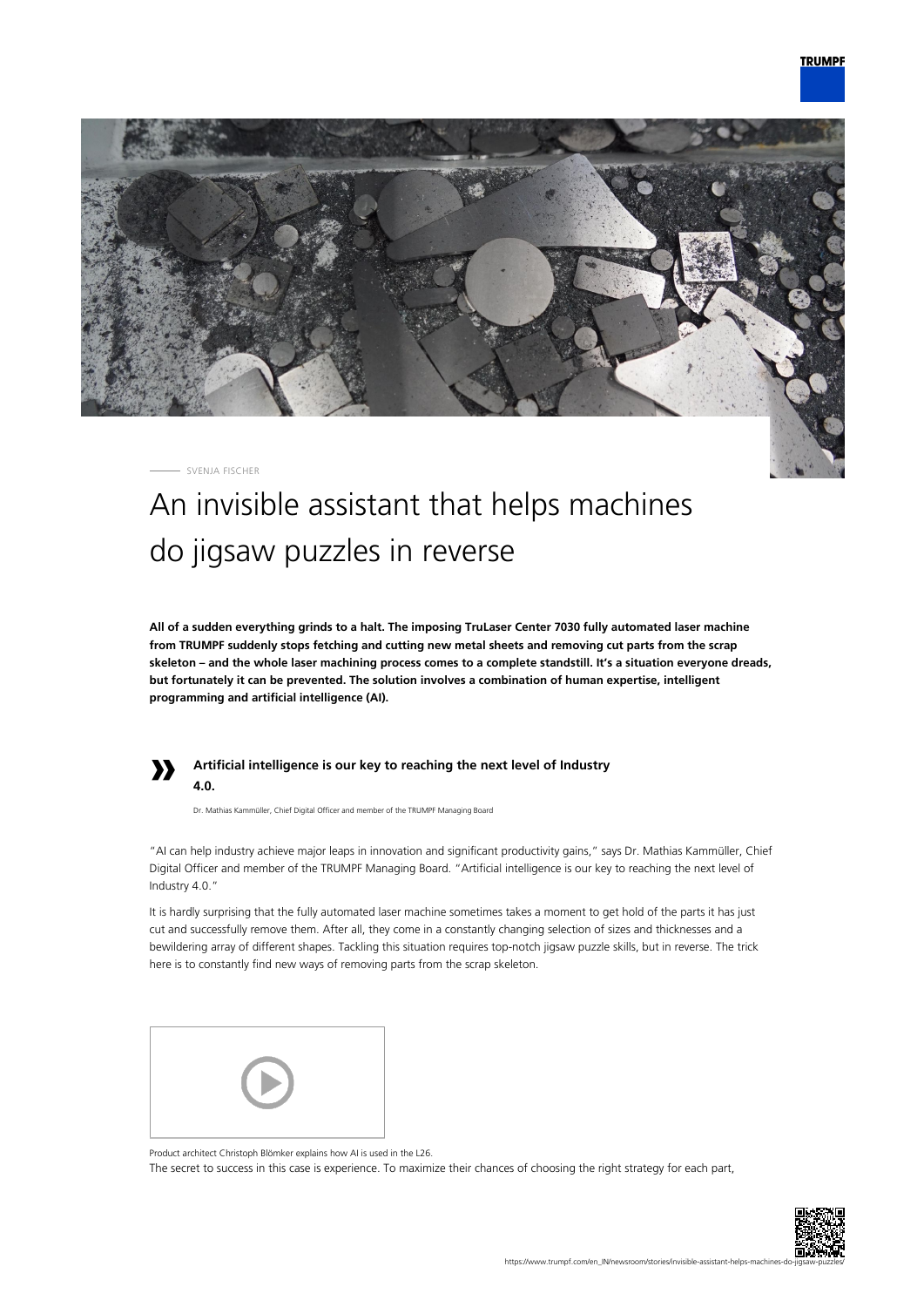

SVENJA FISCHER

## An invisible assistant that helps machines do jigsaw puzzles in reverse

**All of a sudden everything grinds to a halt. The imposing TruLaser Center 7030 fully automated laser machine from TRUMPF suddenly stops fetching and cutting new metal sheets and removing cut parts from the scrap skeleton – and the whole laser machining process comes to a complete standstill. It's a situation everyone dreads, but fortunately it can be prevented. The solution involves a combination of human expertise, intelligent programming and artificial intelligence (AI).**



## **Artificial intelligence is our key to reaching the next level of Industry 4.0.**

Dr. Mathias Kammüller, Chief Digital Officer and member of the TRUMPF Managing Board

"AI can help industry achieve major leaps in innovation and significant productivity gains," says Dr. Mathias Kammüller, Chief Digital Officer and member of the TRUMPF Managing Board. "Artificial intelligence is our key to reaching the next level of Industry 4.0."

It is hardly surprising that the fully automated laser machine sometimes takes a moment to get hold of the parts it has just cut and successfully remove them. After all, they come in a constantly changing selection of sizes and thicknesses and a bewildering array of different shapes. Tackling this situation requires top-notch jigsaw puzzle skills, but in reverse. The trick here is to constantly find new ways of removing parts from the scrap skeleton.



Product architect Christoph Blömker explains how AI is used in the L26. The secret to success in this case is experience. To maximize their chances of choosing the right strategy for each part,